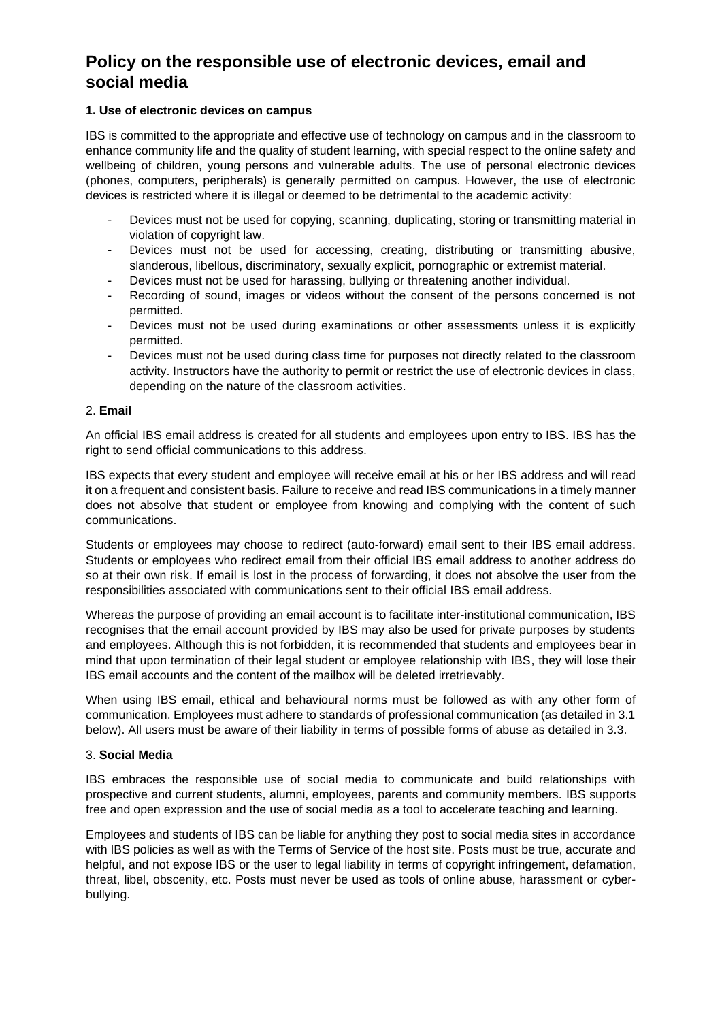# **Policy on the responsible use of electronic devices, email and social media**

### **1. Use of electronic devices on campus**

IBS is committed to the appropriate and effective use of technology on campus and in the classroom to enhance community life and the quality of student learning, with special respect to the online safety and wellbeing of children, young persons and vulnerable adults. The use of personal electronic devices (phones, computers, peripherals) is generally permitted on campus. However, the use of electronic devices is restricted where it is illegal or deemed to be detrimental to the academic activity:

- Devices must not be used for copying, scanning, duplicating, storing or transmitting material in violation of copyright law.
- Devices must not be used for accessing, creating, distributing or transmitting abusive, slanderous, libellous, discriminatory, sexually explicit, pornographic or extremist material.
- Devices must not be used for harassing, bullying or threatening another individual.
- Recording of sound, images or videos without the consent of the persons concerned is not permitted.
- Devices must not be used during examinations or other assessments unless it is explicitly permitted.
- Devices must not be used during class time for purposes not directly related to the classroom activity. Instructors have the authority to permit or restrict the use of electronic devices in class, depending on the nature of the classroom activities.

### 2. **Email**

An official IBS email address is created for all students and employees upon entry to IBS. IBS has the right to send official communications to this address.

IBS expects that every student and employee will receive email at his or her IBS address and will read it on a frequent and consistent basis. Failure to receive and read IBS communications in a timely manner does not absolve that student or employee from knowing and complying with the content of such communications.

Students or employees may choose to redirect (auto-forward) email sent to their IBS email address. Students or employees who redirect email from their official IBS email address to another address do so at their own risk. If email is lost in the process of forwarding, it does not absolve the user from the responsibilities associated with communications sent to their official IBS email address.

Whereas the purpose of providing an email account is to facilitate inter-institutional communication, IBS recognises that the email account provided by IBS may also be used for private purposes by students and employees. Although this is not forbidden, it is recommended that students and employees bear in mind that upon termination of their legal student or employee relationship with IBS, they will lose their IBS email accounts and the content of the mailbox will be deleted irretrievably.

When using IBS email, ethical and behavioural norms must be followed as with any other form of communication. Employees must adhere to standards of professional communication (as detailed in 3.1 below). All users must be aware of their liability in terms of possible forms of abuse as detailed in 3.3.

### 3. **Social Media**

IBS embraces the responsible use of social media to communicate and build relationships with prospective and current students, alumni, employees, parents and community members. IBS supports free and open expression and the use of social media as a tool to accelerate teaching and learning.

Employees and students of IBS can be liable for anything they post to social media sites in accordance with IBS policies as well as with the Terms of Service of the host site. Posts must be true, accurate and helpful, and not expose IBS or the user to legal liability in terms of copyright infringement, defamation, threat, libel, obscenity, etc. Posts must never be used as tools of online abuse, harassment or cyberbullying.